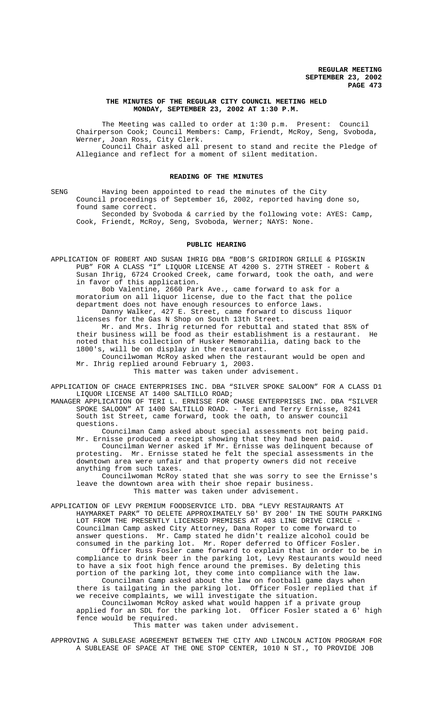### **THE MINUTES OF THE REGULAR CITY COUNCIL MEETING HELD MONDAY, SEPTEMBER 23, 2002 AT 1:30 P.M.**

The Meeting was called to order at 1:30 p.m. Present: Council Chairperson Cook; Council Members: Camp, Friendt, McRoy, Seng, Svoboda, Werner, Joan Ross, City Clerk. Council Chair asked all present to stand and recite the Pledge of Allegiance and reflect for a moment of silent meditation.

### **READING OF THE MINUTES**

SENG Having been appointed to read the minutes of the City Council proceedings of September 16, 2002, reported having done so, found same correct.

Seconded by Svoboda & carried by the following vote: AYES: Camp, Cook, Friendt, McRoy, Seng, Svoboda, Werner; NAYS: None.

### **PUBLIC HEARING**

APPLICATION OF ROBERT AND SUSAN IHRIG DBA "BOB'S GRIDIRON GRILLE & PIGSKIN PUB" FOR A CLASS "I" LIQUOR LICENSE AT 4200 S. 27TH STREET - Robert & Susan Ihrig, 6724 Crooked Creek, came forward, took the oath, and were in favor of this application.

Bob Valentine, 2660 Park Ave., came forward to ask for a moratorium on all liquor license, due to the fact that the police department does not have enough resources to enforce laws. Danny Walker, 427 E. Street, came forward to discuss liquor licenses for the Gas N Shop on South 13th Street.

Mr. and Mrs. Ihrig returned for rebuttal and stated that 85% of<br>business will be food as their establishment is a restaurant. He their business will be food as their establishment is a restaurant. noted that his collection of Husker Memorabilia, dating back to the 1800's, will be on display in the restaurant.

Councilwoman McRoy asked when the restaurant would be open and Mr. Ihrig replied around February 1, 2003.

This matter was taken under advisement.

APPLICATION OF CHACE ENTERPRISES INC. DBA "SILVER SPOKE SALOON" FOR A CLASS D1 LIQUOR LICENSE AT 1400 SALTILLO ROAD;

MANAGER APPLICATION OF TERI L. ERNISSE FOR CHASE ENTERPRISES INC. DBA "SILVER SPOKE SALOON" AT 1400 SALTILLO ROAD. - Teri and Terry Ernisse, 8241 South 1st Street, came forward, took the oath, to answer council questions.

Councilman Camp asked about special assessments not being paid. Mr. Ernisse produced a receipt showing that they had been paid.

Councilman Werner asked if Mr. Ernisse was delinquent because of protesting. Mr. Ernisse stated he felt the special assessments in the downtown area were unfair and that property owners did not receive anything from such taxes.

Councilwoman McRoy stated that she was sorry to see the Ernisse's leave the downtown area with their shoe repair business. This matter was taken under advisement.

APPLICATION OF LEVY PREMIUM FOODSERVICE LTD. DBA "LEVY RESTAURANTS AT HAYMARKET PARK" TO DELETE APPROXIMATELY 50' BY 200' IN THE SOUTH PARKING LOT FROM THE PRESENTLY LICENSED PREMISES AT 403 LINE DRIVE CIRCLE -Councilman Camp asked City Attorney, Dana Roper to come forward to answer questions. Mr. Camp stated he didn't realize alcohol could be consumed in the parking lot. Mr. Roper deferred to Officer Fosler. Officer Russ Fosler came forward to explain that in order to be in compliance to drink beer in the parking lot, Levy Restaurants would need to have a six foot high fence around the premises. By deleting this

portion of the parking lot, they come into compliance with the law. Councilman Camp asked about the law on football game days when there is tailgating in the parking lot. Officer Fosler replied that if we receive complaints, we will investigate the situation.

Councilwoman McRoy asked what would happen if a private group applied for an SDL for the parking lot. Officer Fosler stated a 6' high fence would be required.

This matter was taken under advisement.

APPROVING A SUBLEASE AGREEMENT BETWEEN THE CITY AND LINCOLN ACTION PROGRAM FOR A SUBLEASE OF SPACE AT THE ONE STOP CENTER, 1010 N ST., TO PROVIDE JOB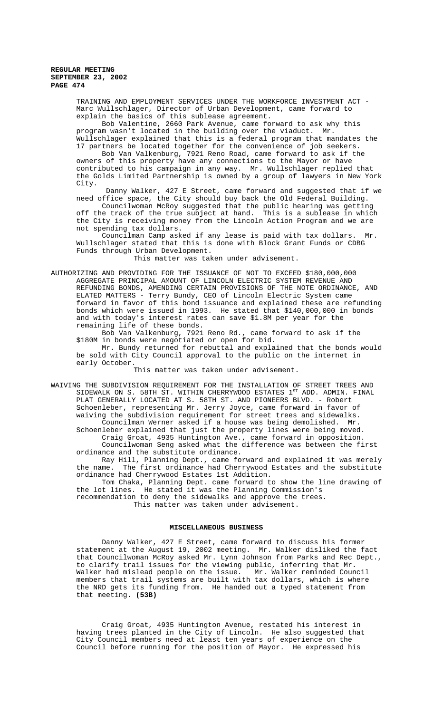### **REGULAR MEETING SEPTEMBER 23, 2002 PAGE 474**

TRAINING AND EMPLOYMENT SERVICES UNDER THE WORKFORCE INVESTMENT ACT - Marc Wullschlager, Director of Urban Development, came forward to explain the basics of this sublease agreement.

Bob Valentine, 2660 Park Avenue, came forward to ask why this program wasn't located in the building over the viaduct. Mr. Wullschlager explained that this is a federal program that mandates the 17 partners be located together for the convenience of job seekers.

Bob Van Valkenburg, 7921 Reno Road, came forward to ask if the owners of this property have any connections to the Mayor or have contributed to his campaign in any way. Mr. Wullschlager replied that the Golds Limited Partnership is owned by a group of lawyers in New York City.

 Danny Walker, 427 E Street, came forward and suggested that if we need office space, the City should buy back the Old Federal Building.

Councilwoman McRoy suggested that the public hearing was getting off the track of the true subject at hand. This is a sublease in which the City is receiving money from the Lincoln Action Program and we are not spending tax dollars.

Councilman Camp asked if any lease is paid with tax dollars. Mr. Wullschlager stated that this is done with Block Grant Funds or CDBG Funds through Urban Development.

This matter was taken under advisement.

AUTHORIZING AND PROVIDING FOR THE ISSUANCE OF NOT TO EXCEED \$180,000,000 AGGREGATE PRINCIPAL AMOUNT OF LINCOLN ELECTRIC SYSTEM REVENUE AND REFUNDING BONDS, AMENDING CERTAIN PROVISIONS OF THE NOTE ORDINANCE, AND ELATED MATTERS - Terry Bundy, CEO of Lincoln Electric System came forward in favor of this bond issuance and explained these are refunding bonds which were issued in 1993. He stated that \$140,000,000 in bonds and with today's interest rates can save \$1.8M per year for the remaining life of these bonds.

Bob Van Valkenburg, 7921 Reno Rd., came forward to ask if the \$180M in bonds were negotiated or open for bid.

Mr. Bundy returned for rebuttal and explained that the bonds would be sold with City Council approval to the public on the internet in early October.

This matter was taken under advisement.

WAIVING THE SUBDIVISION REQUIREMENT FOR THE INSTALLATION OF STREET TREES AND SIDEWALK ON S. 58TH ST. WITHIN CHERRYWOOD ESTATES 1ST ADD. ADMIN. FINAL PLAT GENERALLY LOCATED AT S. 58TH ST. AND PIONEERS BLVD. - Robert Schoenleber, representing Mr. Jerry Joyce, came forward in favor of waiving the subdivision requirement for street trees and sidewalks. Councilman Werner asked if a house was being demolished. Mr. Schoenleber explained that just the property lines were being moved. Craig Groat, 4935 Huntington Ave., came forward in opposition.

Councilwoman Seng asked what the difference was between the first ordinance and the substitute ordinance.

Ray Hill, Planning Dept., came forward and explained it was merely the name. The first ordinance had Cherrywood Estates and the substitute ordinance had Cherrywood Estates 1st Addition.

Tom Chaka, Planning Dept. came forward to show the line drawing of the lot lines. He stated it was the Planning Commission's recommendation to deny the sidewalks and approve the trees. This matter was taken under advisement.

### **MISCELLANEOUS BUSINESS**

Danny Walker, 427 E Street, came forward to discuss his former statement at the August 19, 2002 meeting. Mr. Walker disliked the fact that Councilwoman McRoy asked Mr. Lynn Johnson from Parks and Rec Dept., to clarify trail issues for the viewing public, inferring that Mr. Walker had mislead people on the issue. Mr. Walker reminded Council members that trail systems are built with tax dollars, which is where the NRD gets its funding from. He handed out a typed statement from that meeting. **(53B)**

Craig Groat, 4935 Huntington Avenue, restated his interest in having trees planted in the City of Lincoln. He also suggested that City Council members need at least ten years of experience on the Council before running for the position of Mayor. He expressed his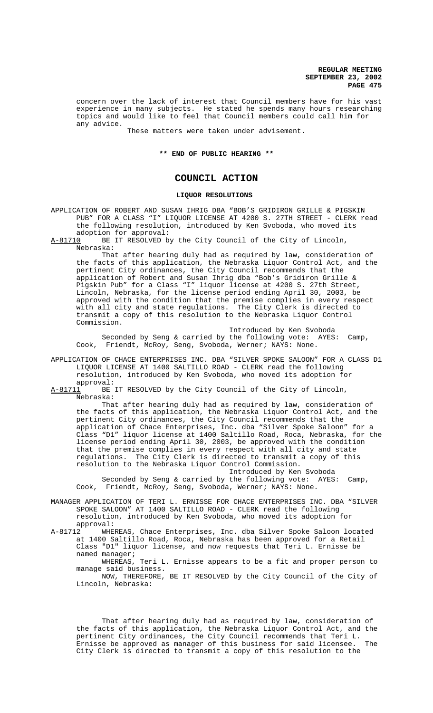**REGULAR MEETING SEPTEMBER 23, 2002 PAGE 475**

concern over the lack of interest that Council members have for his vast experience in many subjects. He stated he spends many hours researching topics and would like to feel that Council members could call him for any advice.

These matters were taken under advisement.

### **\*\* END OF PUBLIC HEARING \*\***

# **COUNCIL ACTION**

## **LIQUOR RESOLUTIONS**

APPLICATION OF ROBERT AND SUSAN IHRIG DBA "BOB'S GRIDIRON GRILLE & PIGSKIN PUB" FOR A CLASS "I" LIQUOR LICENSE AT 4200 S. 27TH STREET - CLERK read the following resolution, introduced by Ken Svoboda, who moved its adoption for approval:<br>A-81710 BE IT RESOLVED b

BE IT RESOLVED by the City Council of the City of Lincoln, Nebraska:

That after hearing duly had as required by law, consideration of the facts of this application, the Nebraska Liquor Control Act, and the pertinent City ordinances, the City Council recommends that the application of Robert and Susan Ihrig dba "Bob's Gridiron Grille & Pigskin Pub" for a Class "I" liquor license at 4200 S. 27th Street, Lincoln, Nebraska, for the license period ending April 30, 2003, be approved with the condition that the premise complies in every respect with all city and state regulations. The City Clerk is directed to transmit a copy of this resolution to the Nebraska Liquor Control Commission.

Introduced by Ken Svoboda Seconded by Seng & carried by the following vote: AYES: Camp, Cook, Friendt, McRoy, Seng, Svoboda, Werner; NAYS: None.

- APPLICATION OF CHACE ENTERPRISES INC. DBA "SILVER SPOKE SALOON" FOR A CLASS D1 LIQUOR LICENSE AT 1400 SALTILLO ROAD - CLERK read the following resolution, introduced by Ken Svoboda, who moved its adoption for
- approval:<br>A-81711 BE BE IT RESOLVED by the City Council of the City of Lincoln, Nebraska:

That after hearing duly had as required by law, consideration of the facts of this application, the Nebraska Liquor Control Act, and the pertinent City ordinances, the City Council recommends that the application of Chace Enterprises, Inc. dba "Silver Spoke Saloon" for a Class "D1" liquor license at 1400 Saltillo Road, Roca, Nebraska, for the license period ending April 30, 2003, be approved with the condition that the premise complies in every respect with all city and state regulations. The City Clerk is directed to transmit a copy of this resolution to the Nebraska Liquor Control Commission.

Introduced by Ken Svoboda Seconded by Seng & carried by the following vote: AYES: Camp, Cook, Friendt, McRoy, Seng, Svoboda, Werner; NAYS: None.

MANAGER APPLICATION OF TERI L. ERNISSE FOR CHACE ENTERPRISES INC. DBA "SILVER SPOKE SALOON" AT 1400 SALTILLO ROAD - CLERK read the following resolution, introduced by Ken Svoboda, who moved its adoption for approval:

A-81712 WHEREAS, Chace Enterprises, Inc. dba Silver Spoke Saloon located at 1400 Saltillo Road, Roca, Nebraska has been approved for a Retail Class "D1" liquor license, and now requests that Teri L. Ernisse be named manager;

WHEREAS, Teri L. Ernisse appears to be a fit and proper person to manage said business.

NOW, THEREFORE, BE IT RESOLVED by the City Council of the City of Lincoln, Nebraska:

That after hearing duly had as required by law, consideration of the facts of this application, the Nebraska Liquor Control Act, and the pertinent City ordinances, the City Council recommends that Teri L. Ernisse be approved as manager of this business for said licensee. The City Clerk is directed to transmit a copy of this resolution to the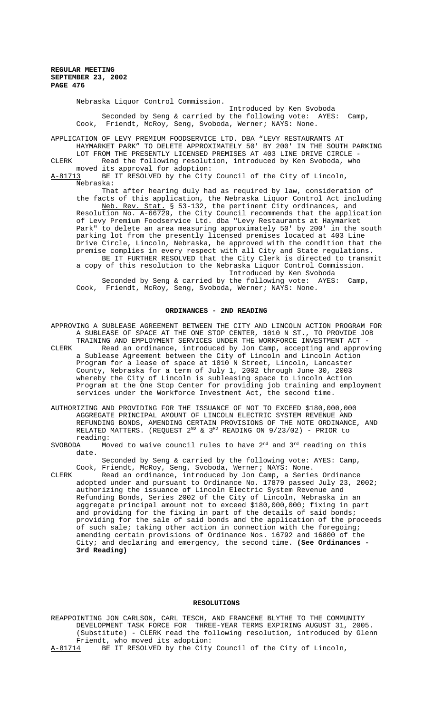Nebraska Liquor Control Commission.

Introduced by Ken Svoboda Seconded by Seng & carried by the following vote: AYES: Camp, Cook, Friendt, McRoy, Seng, Svoboda, Werner; NAYS: None.

APPLICATION OF LEVY PREMIUM FOODSERVICE LTD. DBA "LEVY RESTAURANTS AT HAYMARKET PARK" TO DELETE APPROXIMATELY 50' BY 200' IN THE SOUTH PARKING LOT FROM THE PRESENTLY LICENSED PREMISES AT 403 LINE DRIVE CIRCLE - CLERK Read the following resolution, introduced by Ken Svoboda, who moved its approval for adoption:<br>A-81713 BE IT RESOLVED by the City

BE IT RESOLVED by the City Council of the City of Lincoln, Nebraska:

That after hearing duly had as required by law, consideration of the facts of this application, the Nebraska Liquor Control Act including Neb. Rev. Stat. § 53-132, the pertinent City ordinances, and Resolution No. A-66729, the City Council recommends that the application of Levy Premium Foodservice Ltd. dba "Levy Restaurants at Haymarket Park" to delete an area measuring approximately 50' by 200' in the south parking lot from the presently licensed premises located at 403 Line Drive Circle, Lincoln, Nebraska, be approved with the condition that the premise complies in every respect with all City and State regulations. BE IT FURTHER RESOLVED that the City Clerk is directed to transmit a copy of this resolution to the Nebraska Liquor Control Commission. Introduced by Ken Svoboda Seconded by Seng & carried by the following vote: AYES: Camp,

Cook, Friendt, McRoy, Seng, Svoboda, Werner; NAYS: None.

#### **ORDINANCES - 2ND READING**

APPROVING A SUBLEASE AGREEMENT BETWEEN THE CITY AND LINCOLN ACTION PROGRAM FOR A SUBLEASE OF SPACE AT THE ONE STOP CENTER, 1010 N ST., TO PROVIDE JOB TRAINING AND EMPLOYMENT SERVICES UNDER THE WORKFORCE INVESTMENT ACT - CLERK Read an ordinance, introduced by Jon Camp, accepting and approving a Sublease Agreement between the City of Lincoln and Lincoln Action Program for a lease of space at 1010 N Street, Lincoln, Lancaster County, Nebraska for a term of July 1, 2002 through June 30, 2003 whereby the City of Lincoln is subleasing space to Lincoln Action Program at the One Stop Center for providing job training and employment services under the Workforce Investment Act, the second time.

AUTHORIZING AND PROVIDING FOR THE ISSUANCE OF NOT TO EXCEED \$180,000,000 AGGREGATE PRINCIPAL AMOUNT OF LINCOLN ELECTRIC SYSTEM REVENUE AND REFUNDING BONDS, AMENDING CERTAIN PROVISIONS OF THE NOTE ORDINANCE, AND RELATED MATTERS. (REQUEST  $2^{ND}$  &  $3^{RD}$  READING ON  $9/23/02$ ) - PRIOR to reading:

SVOBODA Moved to waive council rules to have  $2<sup>nd</sup>$  and  $3<sup>rd</sup>$  reading on this date.

Seconded by Seng & carried by the following vote: AYES: Camp, Cook, Friendt, McRoy, Seng, Svoboda, Werner; NAYS: None.

CLERK Read an ordinance, introduced by Jon Camp, a Series Ordinance adopted under and pursuant to Ordinance No. 17879 passed July 23, 2002; authorizing the issuance of Lincoln Electric System Revenue and Refunding Bonds, Series 2002 of the City of Lincoln, Nebraska in an aggregate principal amount not to exceed \$180,000,000; fixing in part and providing for the fixing in part of the details of said bonds; providing for the sale of said bonds and the application of the proceeds of such sale; taking other action in connection with the foregoing; amending certain provisions of Ordinance Nos. 16792 and 16800 of the City; and declaring and emergency, the second time. **(See Ordinances - 3rd Reading)**

### **RESOLUTIONS**

REAPPOINTING JON CARLSON, CARL TESCH, AND FRANCENE BLYTHE TO THE COMMUNITY DEVELOPMENT TASK FORCE FOR THREE-YEAR TERMS EXPIRING AUGUST 31, 2005. (Substitute) - CLERK read the following resolution, introduced by Glenn Friendt, who moved its adoption: A-81714 BE IT RESOLVED by the City Council of the City of Lincoln,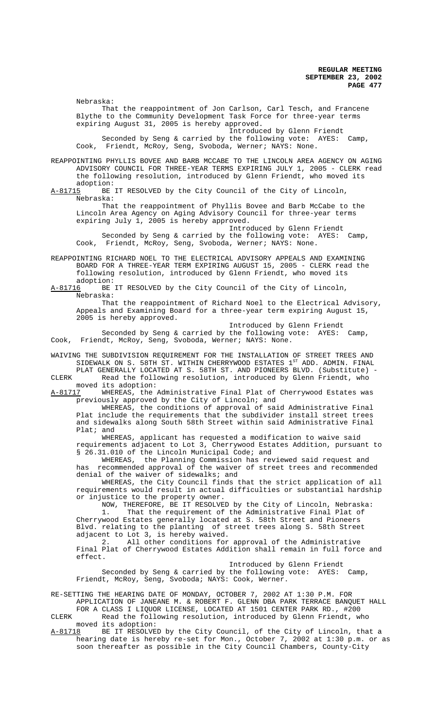Nebraska: That the reappointment of Jon Carlson, Carl Tesch, and Francene Blythe to the Community Development Task Force for three-year terms expiring August 31, 2005 is hereby approved.

Introduced by Glenn Friendt

Seconded by Seng & carried by the following vote: AYES: Camp, Cook, Friendt, McRoy, Seng, Svoboda, Werner; NAYS: None.

REAPPOINTING PHYLLIS BOVEE AND BARB MCCABE TO THE LINCOLN AREA AGENCY ON AGING ADVISORY COUNCIL FOR THREE-YEAR TERMS EXPIRING JULY 1, 2005 - CLERK read the following resolution, introduced by Glenn Friendt, who moved its adoption:<br>A-81715 BE

BE IT RESOLVED by the City Council of the City of Lincoln, Nebraska:

That the reappointment of Phyllis Bovee and Barb McCabe to the Lincoln Area Agency on Aging Advisory Council for three-year terms expiring July 1, 2005 is hereby approved.

Introduced by Glenn Friendt Seconded by Seng & carried by the following vote: AYES: Camp, Cook, Friendt, McRoy, Seng, Svoboda, Werner; NAYS: None.

REAPPOINTING RICHARD NOEL TO THE ELECTRICAL ADVISORY APPEALS AND EXAMINING BOARD FOR A THREE-YEAR TERM EXPIRING AUGUST 15, 2005 - CLERK read the following resolution, introduced by Glenn Friendt, who moved its

adoption:<br>A-81716 BE BE IT RESOLVED by the City Council of the City of Lincoln, Nebraska:

That the reappointment of Richard Noel to the Electrical Advisory, Appeals and Examining Board for a three-year term expiring August 15, 2005 is hereby approved.

Introduced by Glenn Friendt Seconded by Seng & carried by the following vote: AYES: Camp, Cook, Friendt, McRoy, Seng, Svoboda, Werner; NAYS: None.

WAIVING THE SUBDIVISION REQUIREMENT FOR THE INSTALLATION OF STREET TREES AND SIDEWALK ON S. 58TH ST. WITHIN CHERRYWOOD ESTATES  $1^\text{ST}$  ADD. ADMIN. FINAL PLAT GENERALLY LOCATED AT S. 58TH ST. AND PIONEERS BLVD. (Substitute) -

CLERK Read the following resolution, introduced by Glenn Friendt, who moved its adoption:<br>A-81717 WHEREAS, the

WHEREAS, the Administrative Final Plat of Cherrywood Estates was previously approved by the City of Lincoln; and

WHEREAS, the conditions of approval of said Administrative Final Plat include the requirements that the subdivider install street trees and sidewalks along South 58th Street within said Administrative Final Plat; and

WHEREAS, applicant has requested a modification to waive said requirements adjacent to Lot 3, Cherrywood Estates Addition, pursuant to § 26.31.010 of the Lincoln Municipal Code; and

WHEREAS, the Planning Commission has reviewed said request and has recommended approval of the waiver of street trees and recommended denial of the waiver of sidewalks; and

WHEREAS, the City Council finds that the strict application of all requirements would result in actual difficulties or substantial hardship or injustice to the property owner.

NOW, THEREFORE, BE IT RESOLVED by the City of Lincoln, Nebraska: 1. That the requirement of the Administrative Final Plat of Cherrywood Estates generally located at S. 58th Street and Pioneers Blvd. relating to the planting of street trees along S. 58th Street adjacent to Lot 3, is hereby waived.<br>2. All other conditions for

All other conditions for approval of the Administrative Final Plat of Cherrywood Estates Addition shall remain in full force and effect.

Introduced by Glenn Friendt Seconded by Seng & carried by the following vote: AYES: Camp, Friendt, McRoy, Seng, Svoboda; NAYS: Cook, Werner.

RE-SETTING THE HEARING DATE OF MONDAY, OCTOBER 7, 2002 AT 1:30 P.M. FOR

APPLICATION OF JANEANE M. & ROBERT F. GLENN DBA PARK TERRACE BANQUET HALL FOR A CLASS I LIQUOR LICENSE, LOCATED AT 1501 CENTER PARK RD., #200 CLERK Read the following resolution, introduced by Glenn Friendt, who

moved its adoption: A-81718 BE IT RESOLVED by the City Council, of the City of Lincoln, that a hearing date is hereby re-set for Mon., October 7, 2002 at 1:30 p.m. or as soon thereafter as possible in the City Council Chambers, County-City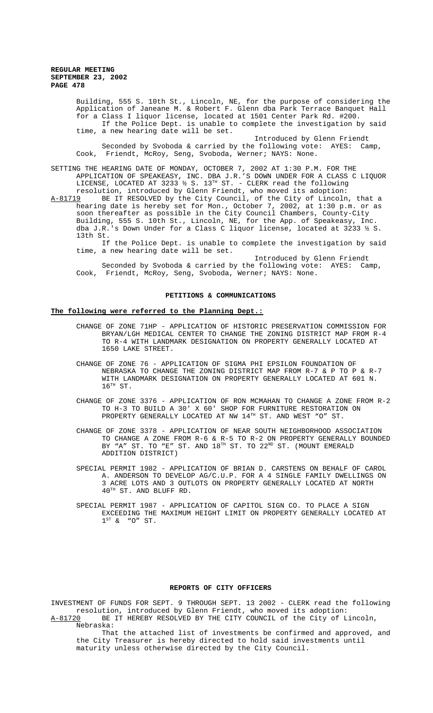### **REGULAR MEETING SEPTEMBER 23, 2002 PAGE 478**

Nebraska:

Building, 555 S. 10th St., Lincoln, NE, for the purpose of considering the Application of Janeane M. & Robert F. Glenn dba Park Terrace Banquet Hall for a Class I liquor license, located at 1501 Center Park Rd. #200. If the Police Dept. is unable to complete the investigation by said time, a new hearing date will be set.

Introduced by Glenn Friendt Seconded by Svoboda & carried by the following vote: AYES: Camp, Cook, Friendt, McRoy, Seng, Svoboda, Werner; NAYS: None.

SETTING THE HEARING DATE OF MONDAY, OCTOBER 7, 2002 AT 1:30 P.M. FOR THE APPLICATION OF SPEAKEASY, INC. DBA J.R.'S DOWN UNDER FOR A CLASS C LIQUOR LICENSE, LOCATED AT 3233  $\frac{1}{2}$  S. 13 $^{\text{\tiny{TH}}}$  ST. - CLERK read the following resolution, introduced by Glenn Friendt, who moved its adoption:

A-81719 BE IT RESOLVED by the City Council, of the City of Lincoln, that a hearing date is hereby set for Mon., October 7, 2002, at 1:30 p.m. or as soon thereafter as possible in the City Council Chambers, County-City Building, 555 S. 10th St., Lincoln, NE, for the App. of Speakeasy, Inc. dba J.R.'s Down Under for a Class C liquor license, located at 3233 ½ S. 13th St.

If the Police Dept. is unable to complete the investigation by said time, a new hearing date will be set.

Introduced by Glenn Friendt Seconded by Svoboda & carried by the following vote: AYES: Camp, Cook, Friendt, McRoy, Seng, Svoboda, Werner; NAYS: None.

#### **PETITIONS & COMMUNICATIONS**

# **The following were referred to the Planning Dept.:**

- CHANGE OF ZONE 71HP APPLICATION OF HISTORIC PRESERVATION COMMISSION FOR BRYAN/LGH MEDICAL CENTER TO CHANGE THE ZONING DISTRICT MAP FROM R-4 TO R-4 WITH LANDMARK DESIGNATION ON PROPERTY GENERALLY LOCATED AT 1650 LAKE STREET.
- CHANGE OF ZONE 76 APPLICATION OF SIGMA PHI EPSILON FOUNDATION OF NEBRASKA TO CHANGE THE ZONING DISTRICT MAP FROM R-7 & P TO P & R-7 WITH LANDMARK DESIGNATION ON PROPERTY GENERALLY LOCATED AT 601 N.  $16^{TH}$  ST.
- CHANGE OF ZONE 3376 APPLICATION OF RON MCMAHAN TO CHANGE A ZONE FROM R-2 TO H-3 TO BUILD A 30' X 60' SHOP FOR FURNITURE RESTORATION ON PROPERTY GENERALLY LOCATED AT NW 14TH ST. AND WEST "O" ST.
- CHANGE OF ZONE 3378 APPLICATION OF NEAR SOUTH NEIGHBORHOOD ASSOCIATION TO CHANGE A ZONE FROM R-6 & R-5 TO R-2 ON PROPERTY GENERALLY BOUNDED BY "A" ST. TO "E" ST. AND  $18^{TH}$  ST. TO  $22^{ND}$  ST. (MOUNT EMERALD ADDITION DISTRICT)
- SPECIAL PERMIT 1982 APPLICATION OF BRIAN D. CARSTENS ON BEHALF OF CAROL A. ANDERSON TO DEVELOP AG/C.U.P. FOR A 4 SINGLE FAMILY DWELLINGS ON 3 ACRE LOTS AND 3 OUTLOTS ON PROPERTY GENERALLY LOCATED AT NORTH 40TH ST. AND BLUFF RD.
- SPECIAL PERMIT 1987 APPLICATION OF CAPITOL SIGN CO. TO PLACE A SIGN EXCEEDING THE MAXIMUM HEIGHT LIMIT ON PROPERTY GENERALLY LOCATED AT  $1^{ST}$  & "O" ST.

#### **REPORTS OF CITY OFFICERS**

INVESTMENT OF FUNDS FOR SEPT. 9 THROUGH SEPT. 13 2002 - CLERK read the following resolution, introduced by Glenn Friendt, who moved its adoption: A-81720 BE IT HEREBY RESOLVED BY THE CITY COUNCIL of the City of Lincoln,

That the attached list of investments be confirmed and approved, and the City Treasurer is hereby directed to hold said investments until maturity unless otherwise directed by the City Council.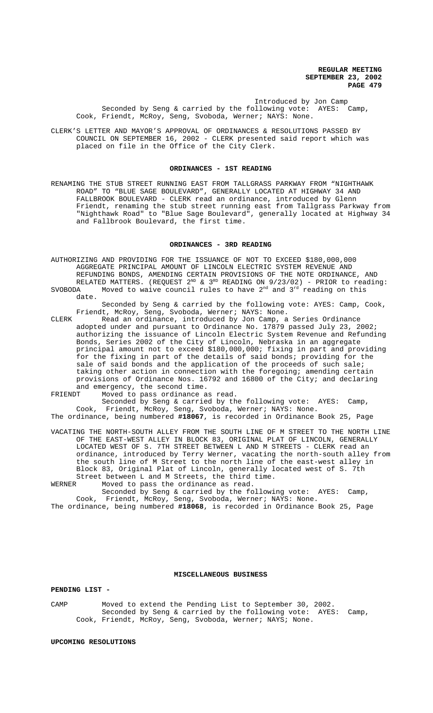Introduced by Jon Camp Seconded by Seng & carried by the following vote: AYES: Camp, Cook, Friendt, McRoy, Seng, Svoboda, Werner; NAYS: None.

CLERK'S LETTER AND MAYOR'S APPROVAL OF ORDINANCES & RESOLUTIONS PASSED BY COUNCIL ON SEPTEMBER 16, 2002 - CLERK presented said report which was placed on file in the Office of the City Clerk.

# **ORDINANCES - 1ST READING**

RENAMING THE STUB STREET RUNNING EAST FROM TALLGRASS PARKWAY FROM "NIGHTHAWK ROAD" TO "BLUE SAGE BOULEVARD", GENERALLY LOCATED AT HIGHWAY 34 AND FALLBROOK BOULEVARD - CLERK read an ordinance, introduced by Glenn Friendt, renaming the stub street running east from Tallgrass Parkway from "Nighthawk Road" to "Blue Sage Boulevard", generally located at Highway 34 and Fallbrook Boulevard, the first time.

## **ORDINANCES - 3RD READING**

AUTHORIZING AND PROVIDING FOR THE ISSUANCE OF NOT TO EXCEED \$180,000,000 AGGREGATE PRINCIPAL AMOUNT OF LINCOLN ELECTRIC SYSTEM REVENUE AND REFUNDING BONDS, AMENDING CERTAIN PROVISIONS OF THE NOTE ORDINANCE, AND RELATED MATTERS. (REQUEST  $2^{ND}$  &  $3^{RD}$  READING ON  $9/23/02$ ) - PRIOR to reading:<br>SVOBODA Moved to waive council rules to have  $2^{nd}$  and  $3^{rd}$  reading on this

Moved to waive council rules to have  $2<sup>nd</sup>$  and  $3<sup>rd</sup>$  reading on this date.

Seconded by Seng & carried by the following vote: AYES: Camp, Cook, Friendt, McRoy, Seng, Svoboda, Werner; NAYS: None.

CLERK Read an ordinance, introduced by Jon Camp, a Series Ordinance adopted under and pursuant to Ordinance No. 17879 passed July 23, 2002; authorizing the issuance of Lincoln Electric System Revenue and Refunding Bonds, Series 2002 of the City of Lincoln, Nebraska in an aggregate principal amount not to exceed \$180,000,000; fixing in part and providing for the fixing in part of the details of said bonds; providing for the sale of said bonds and the application of the proceeds of such sale; taking other action in connection with the foregoing; amending certain provisions of Ordinance Nos. 16792 and 16800 of the City; and declaring and emergency, the second time.<br>FRIENDT Moved to pass ordinance a

Moved to pass ordinance as read.

Seconded by Seng & carried by the following vote: AYES: Camp, Cook, Friendt, McRoy, Seng, Svoboda, Werner; NAYS: None.

The ordinance, being numbered **#18067**, is recorded in Ordinance Book 25, Page

VACATING THE NORTH-SOUTH ALLEY FROM THE SOUTH LINE OF M STREET TO THE NORTH LINE OF THE EAST-WEST ALLEY IN BLOCK 83, ORIGINAL PLAT OF LINCOLN, GENERALLY LOCATED WEST OF S. 7TH STREET BETWEEN L AND M STREETS - CLERK read an ordinance, introduced by Terry Werner, vacating the north-south alley from the south line of M Street to the north line of the east-west alley in Block 83, Original Plat of Lincoln, generally located west of S. 7th Street between L and M Streets, the third time.<br>WERNER Moved to pass the ordinance as read.

Moved to pass the ordinance as read.

Seconded by Seng & carried by the following vote: AYES: Camp, Cook, Friendt, McRoy, Seng, Svoboda, Werner; NAYS: None.

The ordinance, being numbered **#18068**, is recorded in Ordinance Book 25, Page

### **MISCELLANEOUS BUSINESS**

## **PENDING LIST -**

CAMP Moved to extend the Pending List to September 30, 2002. Seconded by Seng & carried by the following vote: AYES: Camp, Cook, Friendt, McRoy, Seng, Svoboda, Werner; NAYS; None.

**UPCOMING RESOLUTIONS**